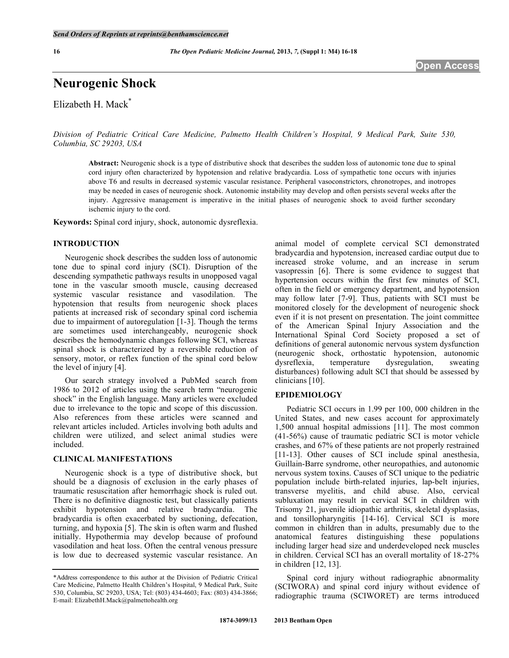**16** *The Open Pediatric Medicine Journal,* **2013,** *7,* **(Suppl 1: M4) 16-18** 

# **Neurogenic Shock**

Elizabeth H. Mack\*

*Division of Pediatric Critical Care Medicine, Palmetto Health Children's Hospital, 9 Medical Park, Suite 530, Columbia, SC 29203, USA* 

**Abstract:** Neurogenic shock is a type of distributive shock that describes the sudden loss of autonomic tone due to spinal cord injury often characterized by hypotension and relative bradycardia. Loss of sympathetic tone occurs with injuries above T6 and results in decreased systemic vascular resistance. Peripheral vasoconstrictors, chronotropes, and inotropes may be needed in cases of neurogenic shock. Autonomic instability may develop and often persists several weeks after the injury. Aggressive management is imperative in the initial phases of neurogenic shock to avoid further secondary ischemic injury to the cord.

**Keywords:** Spinal cord injury, shock, autonomic dysreflexia.

## **INTRODUCTION**

 Neurogenic shock describes the sudden loss of autonomic tone due to spinal cord injury (SCI). Disruption of the descending sympathetic pathways results in unopposed vagal tone in the vascular smooth muscle, causing decreased systemic vascular resistance and vasodilation. The hypotension that results from neurogenic shock places patients at increased risk of secondary spinal cord ischemia due to impairment of autoregulation [1-3]. Though the terms are sometimes used interchangeably, neurogenic shock describes the hemodynamic changes following SCI, whereas spinal shock is characterized by a reversible reduction of sensory, motor, or reflex function of the spinal cord below the level of injury [4].

 Our search strategy involved a PubMed search from 1986 to 2012 of articles using the search term "neurogenic shock" in the English language. Many articles were excluded due to irrelevance to the topic and scope of this discussion. Also references from these articles were scanned and relevant articles included. Articles involving both adults and children were utilized, and select animal studies were included.

#### **CLINICAL MANIFESTATIONS**

 Neurogenic shock is a type of distributive shock, but should be a diagnosis of exclusion in the early phases of traumatic resuscitation after hemorrhagic shock is ruled out. There is no definitive diagnostic test, but classically patients exhibit hypotension and relative bradycardia. The bradycardia is often exacerbated by suctioning, defecation, turning, and hypoxia [5]. The skin is often warm and flushed initially. Hypothermia may develop because of profound vasodilation and heat loss. Often the central venous pressure is low due to decreased systemic vascular resistance. An

animal model of complete cervical SCI demonstrated bradycardia and hypotension, increased cardiac output due to increased stroke volume, and an increase in serum vasopressin [6]. There is some evidence to suggest that hypertension occurs within the first few minutes of SCI, often in the field or emergency department, and hypotension may follow later [7-9]. Thus, patients with SCI must be monitored closely for the development of neurogenic shock even if it is not present on presentation. The joint committee of the American Spinal Injury Association and the International Spinal Cord Society proposed a set of definitions of general autonomic nervous system dysfunction (neurogenic shock, orthostatic hypotension, autonomic dysreflexia, temperature dysregulation, sweating disturbances) following adult SCI that should be assessed by clinicians [10].

## **EPIDEMIOLOGY**

 Pediatric SCI occurs in 1.99 per 100, 000 children in the United States, and new cases account for approximately 1,500 annual hospital admissions [11]. The most common (41-56%) cause of traumatic pediatric SCI is motor vehicle crashes, and 67% of these patients are not properly restrained [11-13]. Other causes of SCI include spinal anesthesia, Guillain-Barre syndrome, other neuropathies, and autonomic nervous system toxins. Causes of SCI unique to the pediatric population include birth-related injuries, lap-belt injuries, transverse myelitis, and child abuse. Also, cervical subluxation may result in cervical SCI in children with Trisomy 21, juvenile idiopathic arthritis, skeletal dysplasias, and tonsillopharyngitis [14-16]. Cervical SCI is more common in children than in adults, presumably due to the anatomical features distinguishing these populations including larger head size and underdeveloped neck muscles in children. Cervical SCI has an overall mortality of 18-27% in children [12, 13].

 Spinal cord injury without radiographic abnormality (SCIWORA) and spinal cord injury without evidence of radiographic trauma (SCIWORET) are terms introduced

<sup>\*</sup>Address correspondence to this author at the Division of Pediatric Critical Care Medicine, Palmetto Health Children's Hospital, 9 Medical Park, Suite 530, Columbia, SC 29203, USA; Tel: (803) 434-4603; Fax: (803) 434-3866; E-mail: ElizabethH.Mack@palmettohealth.org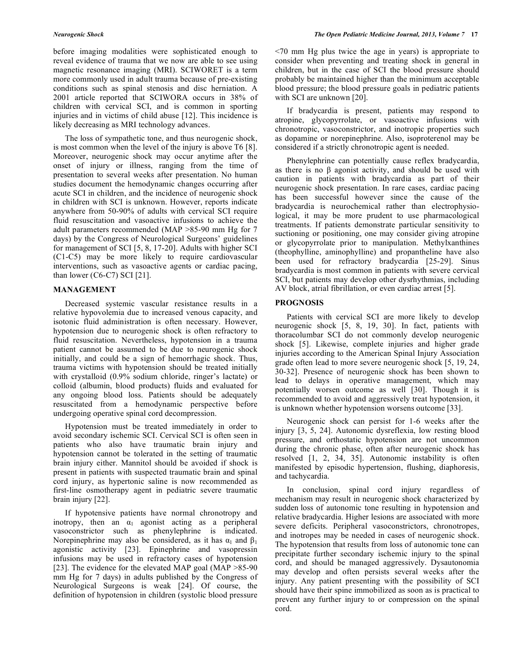before imaging modalities were sophisticated enough to reveal evidence of trauma that we now are able to see using magnetic resonance imaging (MRI). SCIWORET is a term more commonly used in adult trauma because of pre-existing conditions such as spinal stenosis and disc herniation. A 2001 article reported that SCIWORA occurs in 38% of children with cervical SCI, and is common in sporting injuries and in victims of child abuse [12]. This incidence is likely decreasing as MRI technology advances.

 The loss of sympathetic tone, and thus neurogenic shock, is most common when the level of the injury is above T6 [8]. Moreover, neurogenic shock may occur anytime after the onset of injury or illness, ranging from the time of presentation to several weeks after presentation. No human studies document the hemodynamic changes occurring after acute SCI in children, and the incidence of neurogenic shock in children with SCI is unknown. However, reports indicate anywhere from 50-90% of adults with cervical SCI require fluid resuscitation and vasoactive infusions to achieve the adult parameters recommended (MAP >85-90 mm Hg for 7 days) by the Congress of Neurological Surgeons' guidelines for management of SCI [5, 8, 17-20]. Adults with higher SCI (C1-C5) may be more likely to require cardiovascular interventions, such as vasoactive agents or cardiac pacing, than lower  $(C6-C7)$  SCI [21].

## **MANAGEMENT**

 Decreased systemic vascular resistance results in a relative hypovolemia due to increased venous capacity, and isotonic fluid administration is often necessary. However, hypotension due to neurogenic shock is often refractory to fluid resuscitation. Nevertheless, hypotension in a trauma patient cannot be assumed to be due to neurogenic shock initially, and could be a sign of hemorrhagic shock. Thus, trauma victims with hypotension should be treated initially with crystalloid (0.9% sodium chloride, ringer's lactate) or colloid (albumin, blood products) fluids and evaluated for any ongoing blood loss. Patients should be adequately resuscitated from a hemodynamic perspective before undergoing operative spinal cord decompression.

 Hypotension must be treated immediately in order to avoid secondary ischemic SCI. Cervical SCI is often seen in patients who also have traumatic brain injury and hypotension cannot be tolerated in the setting of traumatic brain injury either. Mannitol should be avoided if shock is present in patients with suspected traumatic brain and spinal cord injury, as hypertonic saline is now recommended as first-line osmotherapy agent in pediatric severe traumatic brain injury [22].

 If hypotensive patients have normal chronotropy and inotropy, then an  $\alpha_1$  agonist acting as a peripheral vasoconstrictor such as phenylephrine is indicated. Norepinephrine may also be considered, as it has  $\alpha_1$  and  $\beta_1$ agonistic activity [23]. Epinephrine and vasopressin infusions may be used in refractory cases of hypotension [23]. The evidence for the elevated MAP goal (MAP >85-90) mm Hg for 7 days) in adults published by the Congress of Neurological Surgeons is weak [24]. Of course, the definition of hypotension in children (systolic blood pressure

<70 mm Hg plus twice the age in years) is appropriate to consider when preventing and treating shock in general in children, but in the case of SCI the blood pressure should probably be maintained higher than the minimum acceptable blood pressure; the blood pressure goals in pediatric patients with SCI are unknown [20].

 If bradycardia is present, patients may respond to atropine, glycopyrrolate, or vasoactive infusions with chronotropic, vasoconstrictor, and inotropic properties such as dopamine or norepinephrine. Also, isoproterenol may be considered if a strictly chronotropic agent is needed.

 Phenylephrine can potentially cause reflex bradycardia, as there is no  $\beta$  agonist activity, and should be used with caution in patients with bradycardia as part of their neurogenic shock presentation. In rare cases, cardiac pacing has been successful however since the cause of the bradycardia is neurochemical rather than electrophysiological, it may be more prudent to use pharmacological treatments. If patients demonstrate particular sensitivity to suctioning or positioning, one may consider giving atropine or glycopyrrolate prior to manipulation. Methylxanthines (theophylline, aminophylline) and propantheline have also been used for refractory bradycardia [25-29]. Sinus bradycardia is most common in patients with severe cervical SCI, but patients may develop other dysrhythmias, including AV block, atrial fibrillation, or even cardiac arrest [5].

## **PROGNOSIS**

 Patients with cervical SCI are more likely to develop neurogenic shock [5, 8, 19, 30]. In fact, patients with thoracolumbar SCI do not commonly develop neurogenic shock [5]. Likewise, complete injuries and higher grade injuries according to the American Spinal Injury Association grade often lead to more severe neurogenic shock [5, 19, 24, 30-32]. Presence of neurogenic shock has been shown to lead to delays in operative management, which may potentially worsen outcome as well [30]. Though it is recommended to avoid and aggressively treat hypotension, it is unknown whether hypotension worsens outcome [33].

 Neurogenic shock can persist for 1-6 weeks after the injury [3, 5, 24]. Autonomic dysreflexia, low resting blood pressure, and orthostatic hypotension are not uncommon during the chronic phase, often after neurogenic shock has resolved [1, 2, 34, 35]. Autonomic instability is often manifested by episodic hypertension, flushing, diaphoresis, and tachycardia.

 In conclusion, spinal cord injury regardless of mechanism may result in neurogenic shock characterized by sudden loss of autonomic tone resulting in hypotension and relative bradycardia. Higher lesions are associated with more severe deficits. Peripheral vasoconstrictors, chronotropes, and inotropes may be needed in cases of neurogenic shock. The hypotension that results from loss of autonomic tone can precipitate further secondary ischemic injury to the spinal cord, and should be managed aggressively. Dysautonomia may develop and often persists several weeks after the injury. Any patient presenting with the possibility of SCI should have their spine immobilized as soon as is practical to prevent any further injury to or compression on the spinal cord.